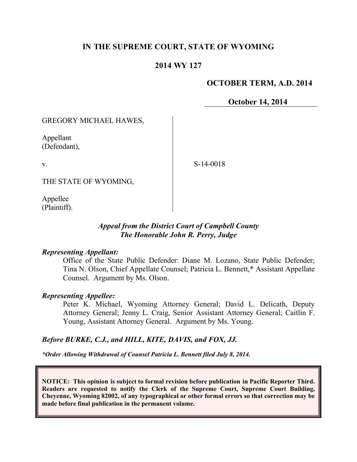## **IN THE SUPREME COURT, STATE OF WYOMING**

## **2014 WY 127**

#### **OCTOBER TERM, A.D. 2014**

**October 14, 2014**

GREGORY MICHAEL HAWES,

Appellant (Defendant),

v.

S-14-0018

THE STATE OF WYOMING,

Appellee (Plaintiff).

#### *Appeal from the District Court of Campbell County The Honorable John R. Perry, Judge*

#### *Representing Appellant:*

Office of the State Public Defender: Diane M. Lozano, State Public Defender; Tina N. Olson, Chief Appellate Counsel; Patricia L. Bennett,\* Assistant Appellate Counsel. Argument by Ms. Olson.

#### *Representing Appellee:*

Peter K. Michael, Wyoming Attorney General; David L. Delicath, Deputy Attorney General; Jenny L. Craig, Senior Assistant Attorney General; Caitlin F. Young, Assistant Attorney General. Argument by Ms. Young.

## *Before BURKE, C.J., and HILL, KITE, DAVIS, and FOX, JJ.*

*\*Order Allowing Withdrawal of Counsel Patricia L. Bennett filed July 8, 2014.*

**NOTICE: This opinion is subject to formal revision before publication in Pacific Reporter Third. Readers are requested to notify the Clerk of the Supreme Court, Supreme Court Building, Cheyenne, Wyoming 82002, of any typographical or other formal errors so that correction may be made before final publication in the permanent volume.**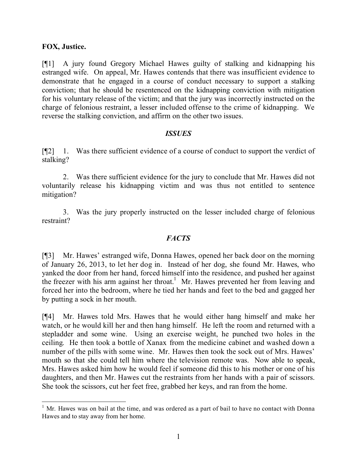#### **FOX, Justice.**

[¶1] A jury found Gregory Michael Hawes guilty of stalking and kidnapping his estranged wife. On appeal, Mr. Hawes contends that there was insufficient evidence to demonstrate that he engaged in a course of conduct necessary to support a stalking conviction; that he should be resentenced on the kidnapping conviction with mitigation for his voluntary release of the victim; and that the jury was incorrectly instructed on the charge of felonious restraint, a lesser included offense to the crime of kidnapping. We reverse the stalking conviction, and affirm on the other two issues.

#### *ISSUES*

[¶2] 1. Was there sufficient evidence of a course of conduct to support the verdict of stalking?

2. Was there sufficient evidence for the jury to conclude that Mr. Hawes did not voluntarily release his kidnapping victim and was thus not entitled to sentence mitigation?

3. Was the jury properly instructed on the lesser included charge of felonious restraint?

## *FACTS*

[¶3] Mr. Hawes' estranged wife, Donna Hawes, opened her back door on the morning of January 26, 2013, to let her dog in. Instead of her dog, she found Mr. Hawes, who yanked the door from her hand, forced himself into the residence, and pushed her against the freezer with his arm against her throat.<sup>1</sup> Mr. Hawes prevented her from leaving and forced her into the bedroom, where he tied her hands and feet to the bed and gagged her by putting a sock in her mouth.

[¶4] Mr. Hawes told Mrs. Hawes that he would either hang himself and make her watch, or he would kill her and then hang himself. He left the room and returned with a stepladder and some wine. Using an exercise weight, he punched two holes in the ceiling. He then took a bottle of Xanax from the medicine cabinet and washed down a number of the pills with some wine. Mr. Hawes then took the sock out of Mrs. Hawes' mouth so that she could tell him where the television remote was. Now able to speak, Mrs. Hawes asked him how he would feel if someone did this to his mother or one of his daughters, and then Mr. Hawes cut the restraints from her hands with a pair of scissors. She took the scissors, cut her feet free, grabbed her keys, and ran from the home.

  $<sup>1</sup>$  Mr. Hawes was on bail at the time, and was ordered as a part of bail to have no contact with Donna</sup> Hawes and to stay away from her home.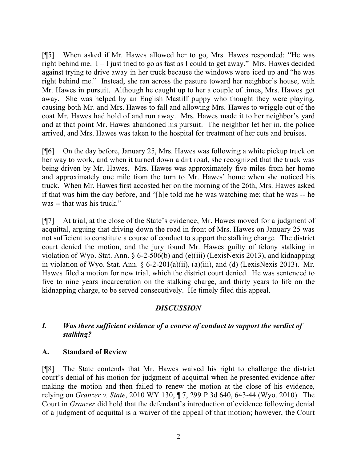[¶5] When asked if Mr. Hawes allowed her to go, Mrs. Hawes responded: "He was right behind me.  $I - I$  just tried to go as fast as I could to get away." Mrs. Hawes decided against trying to drive away in her truck because the windows were iced up and "he was right behind me." Instead, she ran across the pasture toward her neighbor's house, with Mr. Hawes in pursuit. Although he caught up to her a couple of times, Mrs. Hawes got away. She was helped by an English Mastiff puppy who thought they were playing, causing both Mr. and Mrs. Hawes to fall and allowing Mrs. Hawes to wriggle out of the coat Mr. Hawes had hold of and run away. Mrs. Hawes made it to her neighbor's yard and at that point Mr. Hawes abandoned his pursuit. The neighbor let her in, the police arrived, and Mrs. Hawes was taken to the hospital for treatment of her cuts and bruises.

[¶6] On the day before, January 25, Mrs. Hawes was following a white pickup truck on her way to work, and when it turned down a dirt road, she recognized that the truck was being driven by Mr. Hawes. Mrs. Hawes was approximately five miles from her home and approximately one mile from the turn to Mr. Hawes' home when she noticed his truck. When Mr. Hawes first accosted her on the morning of the 26th, Mrs. Hawes asked if that was him the day before, and "[h]e told me he was watching me; that he was -- he was -- that was his truck."

[¶7] At trial, at the close of the State's evidence, Mr. Hawes moved for a judgment of acquittal, arguing that driving down the road in front of Mrs. Hawes on January 25 was not sufficient to constitute a course of conduct to support the stalking charge. The district court denied the motion, and the jury found Mr. Hawes guilty of felony stalking in violation of Wyo. Stat. Ann. § 6-2-506(b) and (e)(iii) (LexisNexis 2013), and kidnapping in violation of Wyo. Stat. Ann. § 6-2-201(a)(ii), (a)(iii), and (d) (LexisNexis 2013). Mr. Hawes filed a motion for new trial, which the district court denied. He was sentenced to five to nine years incarceration on the stalking charge, and thirty years to life on the kidnapping charge, to be served consecutively. He timely filed this appeal.

## *DISCUSSION*

## *I. Was there sufficient evidence of a course of conduct to support the verdict of stalking?*

## **A. Standard of Review**

[¶8] The State contends that Mr. Hawes waived his right to challenge the district court's denial of his motion for judgment of acquittal when he presented evidence after making the motion and then failed to renew the motion at the close of his evidence, relying on *Granzer v. State*, 2010 WY 130, ¶ 7, 299 P.3d 640, 643-44 (Wyo. 2010). The Court in *Granzer* did hold that the defendant's introduction of evidence following denial of a judgment of acquittal is a waiver of the appeal of that motion; however, the Court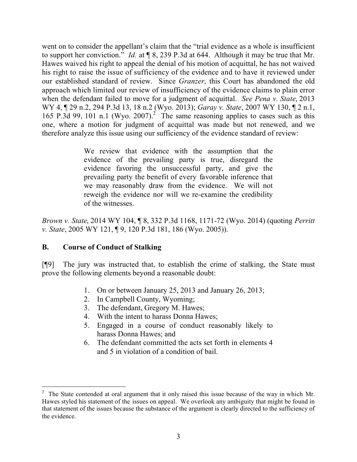went on to consider the appellant's claim that the "trial evidence as a whole is insufficient to support her conviction." *Id.* at ¶ 8, 239 P.3d at 644. Although it may be true that Mr. Hawes waived his right to appeal the denial of his motion of acquittal, he has not waived his right to raise the issue of sufficiency of the evidence and to have it reviewed under our established standard of review. Since *Granzer*, this Court has abandoned the old approach which limited our review of insufficiency of the evidence claims to plain error when the defendant failed to move for a judgment of acquittal. *See Pena v. State*, 2013 WY 4, ¶ 29 n.2, 294 P.3d 13, 18 n.2 (Wyo. 2013); *Garay v. State*, 2007 WY 130, ¶ 2 n.1, 165 P.3d 99, 101 n.1 (Wyo. 2007).<sup>2</sup> The same reasoning applies to cases such as this one, where a motion for judgment of acquittal was made but not renewed, and we therefore analyze this issue using our sufficiency of the evidence standard of review:

> We review that evidence with the assumption that the evidence of the prevailing party is true, disregard the evidence favoring the unsuccessful party, and give the prevailing party the benefit of every favorable inference that we may reasonably draw from the evidence. We will not reweigh the evidence nor will we re-examine the credibility of the witnesses.

*Brown v. State*, 2014 WY 104, ¶ 8, 332 P.3d 1168, 1171-72 (Wyo. 2014) (quoting *Perritt v. State*, 2005 WY 121, ¶ 9, 120 P.3d 181, 186 (Wyo. 2005)).

## **B. Course of Conduct of Stalking**

[¶9] The jury was instructed that, to establish the crime of stalking, the State must prove the following elements beyond a reasonable doubt:

- 1. On or between January 25, 2013 and January 26, 2013;
- 2. In Campbell County, Wyoming;
- 3. The defendant, Gregory M. Hawes;
- 4. With the intent to harass Donna Hawes;
- 5. Engaged in a course of conduct reasonably likely to harass Donna Hawes; and
- 6. The defendant committed the acts set forth in elements 4 and 5 in violation of a condition of bail.

<sup>2</sup> The State contended at oral argument that it only raised this issue because of the way in which Mr. Hawes styled his statement of the issues on appeal. We overlook any ambiguity that might be found in that statement of the issues because the substance of the argument is clearly directed to the sufficiency of the evidence.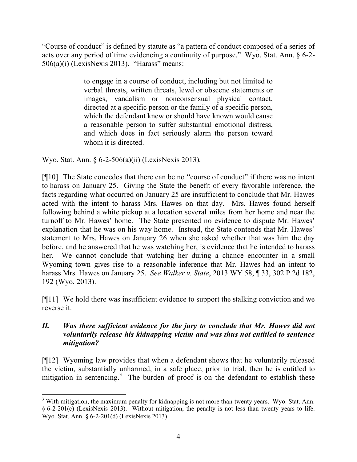"Course of conduct" is defined by statute as "a pattern of conduct composed of a series of acts over any period of time evidencing a continuity of purpose." Wyo. Stat. Ann. § 6-2-  $506(a)(i)$  (LexisNexis 2013). "Harass" means:

> to engage in a course of conduct, including but not limited to verbal threats, written threats, lewd or obscene statements or images, vandalism or nonconsensual physical contact, directed at a specific person or the family of a specific person, which the defendant knew or should have known would cause a reasonable person to suffer substantial emotional distress, and which does in fact seriously alarm the person toward whom it is directed.

Wyo. Stat. Ann. § 6-2-506(a)(ii) (LexisNexis 2013).

[¶10] The State concedes that there can be no "course of conduct" if there was no intent to harass on January 25. Giving the State the benefit of every favorable inference, the facts regarding what occurred on January 25 are insufficient to conclude that Mr. Hawes acted with the intent to harass Mrs. Hawes on that day. Mrs. Hawes found herself following behind a white pickup at a location several miles from her home and near the turnoff to Mr. Hawes' home. The State presented no evidence to dispute Mr. Hawes' explanation that he was on his way home. Instead, the State contends that Mr. Hawes' statement to Mrs. Hawes on January 26 when she asked whether that was him the day before, and he answered that he was watching her, is evidence that he intended to harass her. We cannot conclude that watching her during a chance encounter in a small Wyoming town gives rise to a reasonable inference that Mr. Hawes had an intent to harass Mrs. Hawes on January 25. *See Walker v. State*, 2013 WY 58, ¶ 33, 302 P.2d 182, 192 (Wyo. 2013).

[¶11] We hold there was insufficient evidence to support the stalking conviction and we reverse it.

## *II. Was there sufficient evidence for the jury to conclude that Mr. Hawes did not voluntarily release his kidnapping victim and was thus not entitled to sentence mitigation?*

[¶12] Wyoming law provides that when a defendant shows that he voluntarily released the victim, substantially unharmed, in a safe place, prior to trial, then he is entitled to mitigation in sentencing.<sup>3</sup> The burden of proof is on the defendant to establish these

 <sup>3</sup> With mitigation, the maximum penalty for kidnapping is not more than twenty years. Wyo. Stat. Ann. § 6-2-201(c) (LexisNexis 2013). Without mitigation, the penalty is not less than twenty years to life. Wyo. Stat. Ann. § 6-2-201(d) (LexisNexis 2013).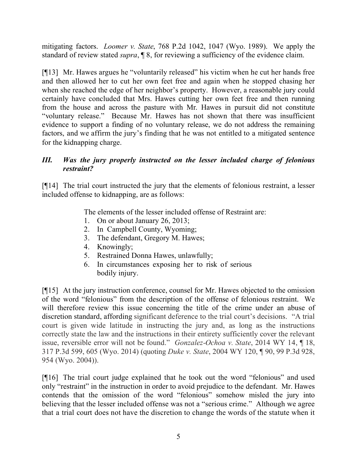mitigating factors. *Loomer v. State*, 768 P.2d 1042, 1047 (Wyo. 1989). We apply the standard of review stated *supra*, ¶ 8, for reviewing a sufficiency of the evidence claim.

[¶13] Mr. Hawes argues he "voluntarily released" his victim when he cut her hands free and then allowed her to cut her own feet free and again when he stopped chasing her when she reached the edge of her neighbor's property. However, a reasonable jury could certainly have concluded that Mrs. Hawes cutting her own feet free and then running from the house and across the pasture with Mr. Hawes in pursuit did not constitute "voluntary release." Because Mr. Hawes has not shown that there was insufficient evidence to support a finding of no voluntary release, we do not address the remaining factors, and we affirm the jury's finding that he was not entitled to a mitigated sentence for the kidnapping charge.

# *III. Was the jury properly instructed on the lesser included charge of felonious restraint?*

[¶14] The trial court instructed the jury that the elements of felonious restraint, a lesser included offense to kidnapping, are as follows:

The elements of the lesser included offense of Restraint are:

- 1. On or about January 26, 2013;
- 2. In Campbell County, Wyoming;
- 3. The defendant, Gregory M. Hawes;
- 4. Knowingly;
- 5. Restrained Donna Hawes, unlawfully;
- 6. In circumstances exposing her to risk of serious bodily injury.

[¶15] At the jury instruction conference, counsel for Mr. Hawes objected to the omission of the word "felonious" from the description of the offense of felonious restraint. We will therefore review this issue concerning the title of the crime under an abuse of discretion standard, affording significant deference to the trial court's decisions. "A trial court is given wide latitude in instructing the jury and, as long as the instructions correctly state the law and the instructions in their entirety sufficiently cover the relevant issue, reversible error will not be found." *Gonzalez-Ochoa v. State*, 2014 WY 14, ¶ 18, 317 P.3d 599, 605 (Wyo. 2014) (quoting *Duke v. State*, 2004 WY 120, ¶ 90, 99 P.3d 928, 954 (Wyo. 2004)).

[¶16] The trial court judge explained that he took out the word "felonious" and used only "restraint" in the instruction in order to avoid prejudice to the defendant. Mr. Hawes contends that the omission of the word "felonious" somehow misled the jury into believing that the lesser included offense was not a "serious crime." Although we agree that a trial court does not have the discretion to change the words of the statute when it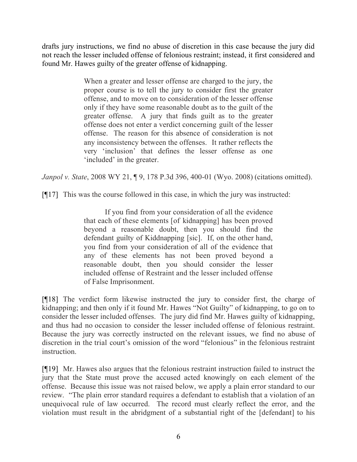drafts jury instructions, we find no abuse of discretion in this case because the jury did not reach the lesser included offense of felonious restraint; instead, it first considered and found Mr. Hawes guilty of the greater offense of kidnapping.

> When a greater and lesser offense are charged to the jury, the proper course is to tell the jury to consider first the greater offense, and to move on to consideration of the lesser offense only if they have some reasonable doubt as to the guilt of the greater offense. A jury that finds guilt as to the greater offense does not enter a verdict concerning guilt of the lesser offense. The reason for this absence of consideration is not any inconsistency between the offenses. It rather reflects the very 'inclusion' that defines the lesser offense as one 'included' in the greater.

*Janpol v. State*, 2008 WY 21, ¶ 9, 178 P.3d 396, 400-01 (Wyo. 2008) (citations omitted).

[¶17] This was the course followed in this case, in which the jury was instructed:

If you find from your consideration of all the evidence that each of these elements [of kidnapping] has been proved beyond a reasonable doubt, then you should find the defendant guilty of Kiddnapping [sic]. If, on the other hand, you find from your consideration of all of the evidence that any of these elements has not been proved beyond a reasonable doubt, then you should consider the lesser included offense of Restraint and the lesser included offense of False Imprisonment.

[¶18] The verdict form likewise instructed the jury to consider first, the charge of kidnapping; and then only if it found Mr. Hawes "Not Guilty" of kidnapping, to go on to consider the lesser included offenses. The jury did find Mr. Hawes guilty of kidnapping, and thus had no occasion to consider the lesser included offense of felonious restraint. Because the jury was correctly instructed on the relevant issues, we find no abuse of discretion in the trial court's omission of the word "felonious" in the felonious restraint instruction.

[¶19] Mr. Hawes also argues that the felonious restraint instruction failed to instruct the jury that the State must prove the accused acted knowingly on each element of the offense. Because this issue was not raised below, we apply a plain error standard to our review. "The plain error standard requires a defendant to establish that a violation of an unequivocal rule of law occurred. The record must clearly reflect the error, and the violation must result in the abridgment of a substantial right of the [defendant] to his